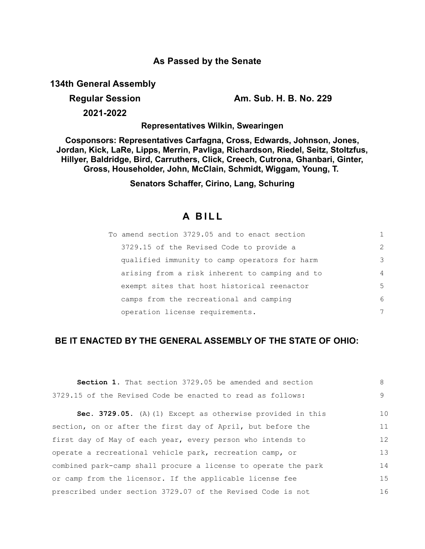## **As Passed by the Senate**

**134th General Assembly**

**Regular Session Am. Sub. H. B. No. 229**

**2021-2022**

**Representatives Wilkin, Swearingen**

**Cosponsors: Representatives Carfagna, Cross, Edwards, Johnson, Jones, Jordan, Kick, LaRe, Lipps, Merrin, Pavliga, Richardson, Riedel, Seitz, Stoltzfus, Hillyer, Baldridge, Bird, Carruthers, Click, Creech, Cutrona, Ghanbari, Ginter, Gross, Householder, John, McClain, Schmidt, Wiggam, Young, T.** 

**Senators Schaffer, Cirino, Lang, Schuring**

# **A B I L L**

| To amend section 3729.05 and to enact section  |               |
|------------------------------------------------|---------------|
| 3729.15 of the Revised Code to provide a       | $\mathcal{L}$ |
| qualified immunity to camp operators for harm  | 3             |
| arising from a risk inherent to camping and to | 4             |
| exempt sites that host historical reenactor    | 5             |
| camps from the recreational and camping        | 6             |
| operation license requirements.                | 7             |

## **BE IT ENACTED BY THE GENERAL ASSEMBLY OF THE STATE OF OHIO:**

| <b>Section 1.</b> That section 3729.05 be amended and section  | 8  |
|----------------------------------------------------------------|----|
| 3729.15 of the Revised Code be enacted to read as follows:     | 9  |
| Sec. 3729.05. (A) (1) Except as otherwise provided in this     | 10 |
| section, on or after the first day of April, but before the    | 11 |
| first day of May of each year, every person who intends to     | 12 |
| operate a recreational vehicle park, recreation camp, or       | 13 |
| combined park-camp shall procure a license to operate the park | 14 |
| or camp from the licensor. If the applicable license fee       | 15 |
| prescribed under section 3729.07 of the Revised Code is not    | 16 |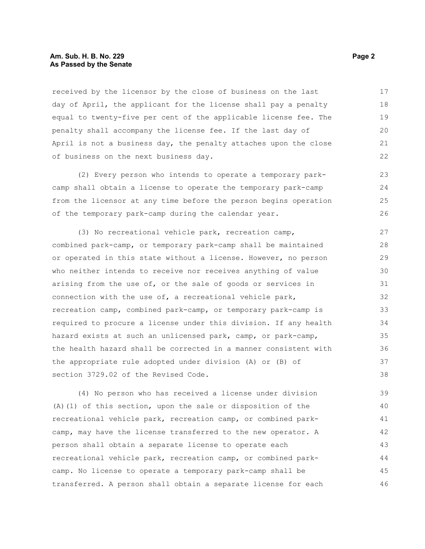#### **Am. Sub. H. B. No. 229 Page 2 As Passed by the Senate**

received by the licensor by the close of business on the last day of April, the applicant for the license shall pay a penalty equal to twenty-five per cent of the applicable license fee. The penalty shall accompany the license fee. If the last day of April is not a business day, the penalty attaches upon the close of business on the next business day. 17 18 19 20 21 22

(2) Every person who intends to operate a temporary parkcamp shall obtain a license to operate the temporary park-camp from the licensor at any time before the person begins operation of the temporary park-camp during the calendar year.

(3) No recreational vehicle park, recreation camp, combined park-camp, or temporary park-camp shall be maintained or operated in this state without a license. However, no person who neither intends to receive nor receives anything of value arising from the use of, or the sale of goods or services in connection with the use of, a recreational vehicle park, recreation camp, combined park-camp, or temporary park-camp is required to procure a license under this division. If any health hazard exists at such an unlicensed park, camp, or park-camp, the health hazard shall be corrected in a manner consistent with the appropriate rule adopted under division (A) or (B) of section 3729.02 of the Revised Code. 27 28 29 30 31 32 33 34 35 36 37 38

(4) No person who has received a license under division (A)(1) of this section, upon the sale or disposition of the recreational vehicle park, recreation camp, or combined parkcamp, may have the license transferred to the new operator. A person shall obtain a separate license to operate each recreational vehicle park, recreation camp, or combined parkcamp. No license to operate a temporary park-camp shall be transferred. A person shall obtain a separate license for each 39 40 41 42 43 44 45 46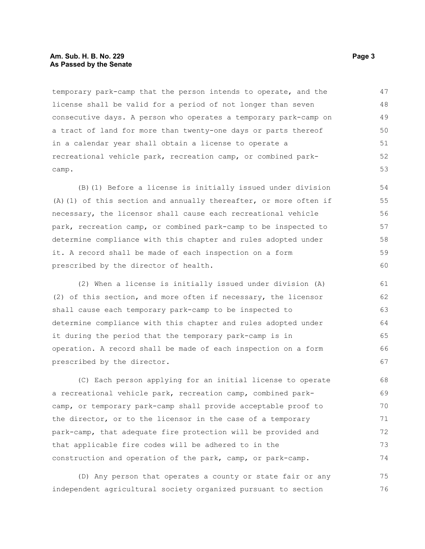#### **Am. Sub. H. B. No. 229 Page 3 As Passed by the Senate**

temporary park-camp that the person intends to operate, and the license shall be valid for a period of not longer than seven consecutive days. A person who operates a temporary park-camp on a tract of land for more than twenty-one days or parts thereof in a calendar year shall obtain a license to operate a recreational vehicle park, recreation camp, or combined parkcamp. 47 48 49 50 51 52 53

(B)(1) Before a license is initially issued under division (A)(1) of this section and annually thereafter, or more often if necessary, the licensor shall cause each recreational vehicle park, recreation camp, or combined park-camp to be inspected to determine compliance with this chapter and rules adopted under it. A record shall be made of each inspection on a form prescribed by the director of health. 55 58

(2) When a license is initially issued under division (A) (2) of this section, and more often if necessary, the licensor shall cause each temporary park-camp to be inspected to determine compliance with this chapter and rules adopted under it during the period that the temporary park-camp is in operation. A record shall be made of each inspection on a form prescribed by the director.

(C) Each person applying for an initial license to operate a recreational vehicle park, recreation camp, combined parkcamp, or temporary park-camp shall provide acceptable proof to the director, or to the licensor in the case of a temporary park-camp, that adequate fire protection will be provided and that applicable fire codes will be adhered to in the construction and operation of the park, camp, or park-camp. 68 69 70 71 72 73 74

(D) Any person that operates a county or state fair or any independent agricultural society organized pursuant to section 75 76

54

56 57

59 60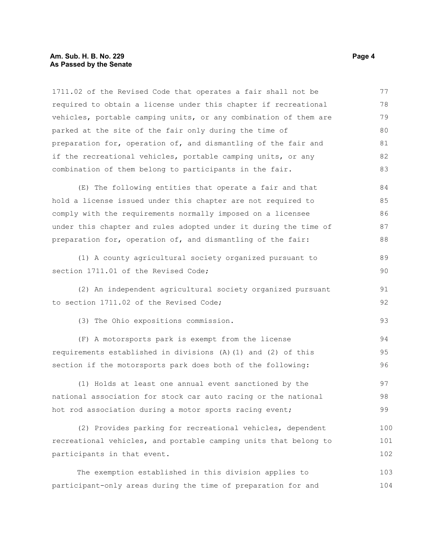#### **Am. Sub. H. B. No. 229 Page 4 As Passed by the Senate**

1711.02 of the Revised Code that operates a fair shall not be required to obtain a license under this chapter if recreational vehicles, portable camping units, or any combination of them are parked at the site of the fair only during the time of preparation for, operation of, and dismantling of the fair and if the recreational vehicles, portable camping units, or any combination of them belong to participants in the fair. 77 78 79 80 81 82 83

(E) The following entities that operate a fair and that hold a license issued under this chapter are not required to comply with the requirements normally imposed on a licensee under this chapter and rules adopted under it during the time of preparation for, operation of, and dismantling of the fair: 84 85 86 87 88

(1) A county agricultural society organized pursuant to section 1711.01 of the Revised Code;

(2) An independent agricultural society organized pursuant to section 1711.02 of the Revised Code;

(3) The Ohio expositions commission.

(F) A motorsports park is exempt from the license requirements established in divisions (A)(1) and (2) of this section if the motorsports park does both of the following: 94 95 96

(1) Holds at least one annual event sanctioned by the national association for stock car auto racing or the national hot rod association during a motor sports racing event; 97 98 99

(2) Provides parking for recreational vehicles, dependent recreational vehicles, and portable camping units that belong to participants in that event. 100 101 102

The exemption established in this division applies to participant-only areas during the time of preparation for and 103 104

89 90

91 92

93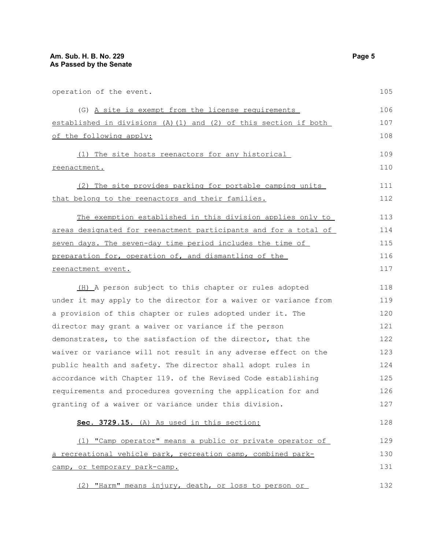| operation of the event.                                          |     |  |
|------------------------------------------------------------------|-----|--|
| (G) A site is exempt from the license requirements               | 106 |  |
| established in divisions (A) (1) and (2) of this section if both |     |  |
| of the following apply:                                          |     |  |
| (1) The site hosts reenactors for any historical                 | 109 |  |
| reenactment.                                                     |     |  |
|                                                                  |     |  |
| (2) The site provides parking for portable camping units         | 111 |  |
| that belong to the reenactors and their families.                | 112 |  |
| The exemption established in this division applies only to       | 113 |  |
| areas designated for reenactment participants and for a total of | 114 |  |
| seven days. The seven-day time period includes the time of       | 115 |  |
| preparation for, operation of, and dismantling of the            | 116 |  |
| reenactment event.                                               |     |  |
| (H) A person subject to this chapter or rules adopted            | 118 |  |
| under it may apply to the director for a waiver or variance from | 119 |  |
| a provision of this chapter or rules adopted under it. The       | 120 |  |
| director may grant a waiver or variance if the person            | 121 |  |
| demonstrates, to the satisfaction of the director, that the      | 122 |  |
| waiver or variance will not result in any adverse effect on the  | 123 |  |
| public health and safety. The director shall adopt rules in      | 124 |  |
| accordance with Chapter 119. of the Revised Code establishing    | 125 |  |
| requirements and procedures governing the application for and    | 126 |  |
| granting of a waiver or variance under this division.            | 127 |  |
| Sec. 3729.15. (A) As used in this section:                       | 128 |  |
| (1) "Camp operator" means a public or private operator of        | 129 |  |
| a recreational vehicle park, recreation camp, combined park-     | 130 |  |
| camp, or temporary park-camp.                                    | 131 |  |
|                                                                  |     |  |

(2) "Harm" means injury, death, or loss to person or 132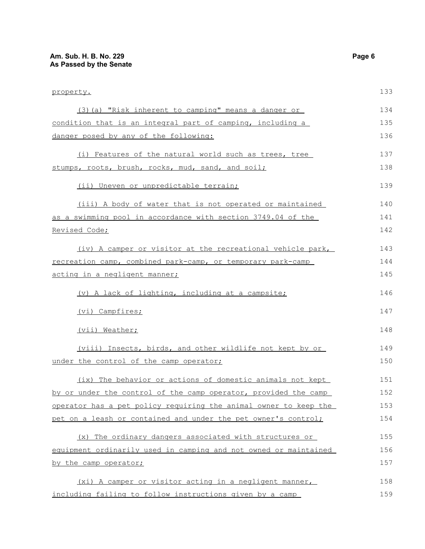| property.                                                        |     |
|------------------------------------------------------------------|-----|
| (3) (a) "Risk inherent to camping" means a danger or             | 134 |
| condition that is an integral part of camping, including a       | 135 |
| danger posed by any of the following:                            |     |
| (i) Features of the natural world such as trees, tree            | 137 |
| stumps, roots, brush, rocks, mud, sand, and soil;                | 138 |
| (ii) Uneven or unpredictable terrain;                            | 139 |
| (iii) A body of water that is not operated or maintained         | 140 |
| as a swimming pool in accordance with section 3749.04 of the     | 141 |
| Revised Code;                                                    |     |
| (iv) A camper or visitor at the recreational vehicle park,       | 143 |
| recreation camp, combined park-camp, or temporary park-camp      | 144 |
| acting in a negligent manner;                                    |     |
| (v) A lack of lighting, including at a campsite;                 | 146 |
| (vi) Campfires;                                                  | 147 |
| (vii) Weather;                                                   | 148 |
| (viii) Insects, birds, and other wildlife not kept by or         | 149 |
| under the control of the camp operator;                          | 150 |
| (ix) The behavior or actions of domestic animals not kept        | 151 |
| by or under the control of the camp operator, provided the camp  | 152 |
| operator has a pet policy requiring the animal owner to keep the | 153 |
| pet on a leash or contained and under the pet owner's control;   | 154 |
| (x) The ordinary dangers associated with structures or           | 155 |
| equipment ordinarily used in camping and not owned or maintained |     |
| by the camp operator;                                            | 157 |
| (xi) A camper or visitor acting in a negligent manner,           | 158 |
| including failing to follow instructions given by a camp         | 159 |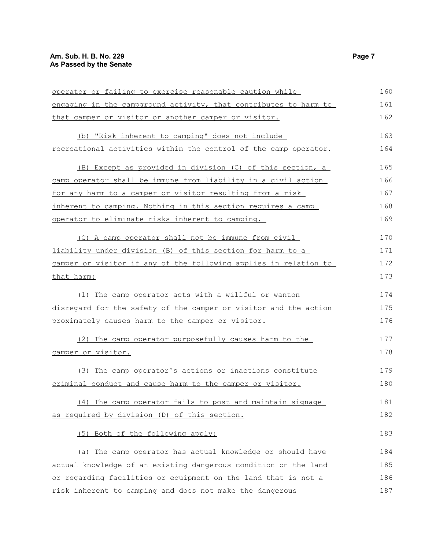### **Am. Sub. H. B. No. 229 Page 7 As Passed by the Senate**

| operator or failing to exercise reasonable caution while         | 160 |
|------------------------------------------------------------------|-----|
| engaging in the campground activity, that contributes to harm to | 161 |
| that camper or visitor or another camper or visitor.             | 162 |
| (b) "Risk inherent to camping" does not include                  | 163 |
| recreational activities within the control of the camp operator. | 164 |
| (B) Except as provided in division (C) of this section, a        | 165 |
| camp operator shall be immune from liability in a civil action   | 166 |
| for any harm to a camper or visitor resulting from a risk        | 167 |
| inherent to camping. Nothing in this section requires a camp     | 168 |
| operator to eliminate risks inherent to camping.                 | 169 |
| (C) A camp operator shall not be immune from civil               | 170 |
| liability under division (B) of this section for harm to a       | 171 |
| camper or visitor if any of the following applies in relation to | 172 |
| that harm:                                                       |     |
| (1) The camp operator acts with a willful or wanton              | 174 |
| disregard for the safety of the camper or visitor and the action |     |
| proximately causes harm to the camper or visitor.                | 176 |
| (2) The camp operator purposefully causes harm to the            | 177 |
| camper or visitor.                                               | 178 |
| (3) The camp operator's actions or inactions constitute          | 179 |
| criminal conduct and cause harm to the camper or visitor.        | 180 |
| (4) The camp operator fails to post and maintain signage         | 181 |
| as required by division (D) of this section.                     | 182 |
| (5) Both of the following apply:                                 | 183 |
| (a) The camp operator has actual knowledge or should have        | 184 |
| actual knowledge of an existing dangerous condition on the land  | 185 |
| or regarding facilities or equipment on the land that is not a   | 186 |
| risk inherent to camping and does not make the dangerous         | 187 |